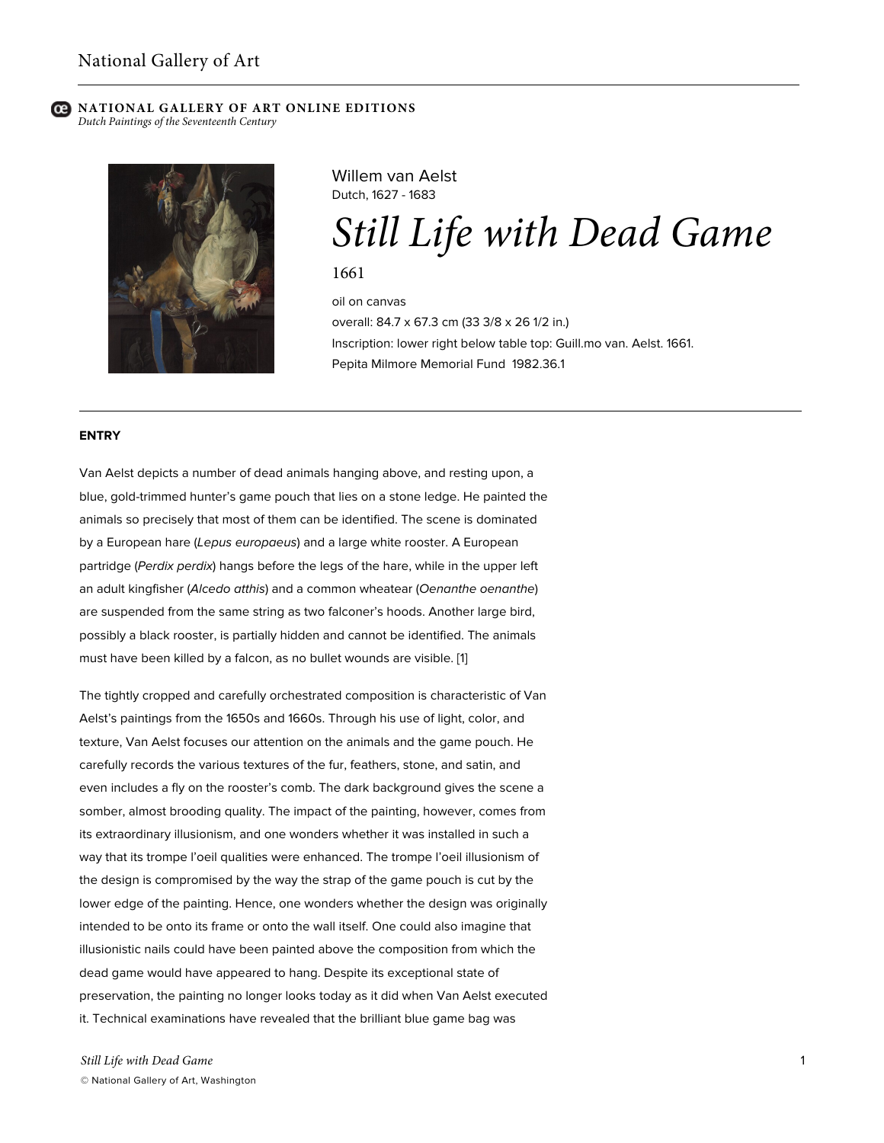# **NATIONAL GALLERY OF ART ONLINE EDITIONS**

*Dutch Paintings of the Seventeenth Century*



Willem van Aelst Dutch, 1627 - 1683

*Still Life with Dead Game*

1661

oil on canvas overall: 84.7 x 67.3 cm (33 3/8 x 26 1/2 in.) Inscription: lower right below table top: Guill.mo van. Aelst. 1661. Pepita Milmore Memorial Fund 1982.36.1

## **ENTRY**

Van Aelst depicts a number of dead animals hanging above, and resting upon, a blue, gold-trimmed hunter's game pouch that lies on a stone ledge. He painted the animals so precisely that most of them can be identified. The scene is dominated by a European hare (*Lepus europaeus*) and a large white rooster. A European partridge (*Perdix perdix*) hangs before the legs of the hare, while in the upper left an adult kingfisher (*Alcedo atthis*) and a common wheatear (*Oenanthe oenanthe*) are suspended from the same string as two falconer's hoods. Another large bird, possibly a black rooster, is partially hidden and cannot be identified. The animals must have been killed by a falcon, as no bullet wounds are visible. [1]

The tightly cropped and carefully orchestrated composition is characteristic of Van Aelst's paintings from the 1650s and 1660s. Through his use of light, color, and texture, Van Aelst focuses our attention on the animals and the game pouch. He carefully records the various textures of the fur, feathers, stone, and satin, and even includes a fly on the rooster's comb. The dark background gives the scene a somber, almost brooding quality. The impact of the painting, however, comes from its extraordinary illusionism, and one wonders whether it was installed in such a way that its trompe l'oeil qualities were enhanced. The trompe l'oeil illusionism of the design is compromised by the way the strap of the game pouch is cut by the lower edge of the painting. Hence, one wonders whether the design was originally intended to be onto its frame or onto the wall itself. One could also imagine that illusionistic nails could have been painted above the composition from which the dead game would have appeared to hang. Despite its exceptional state of preservation, the painting no longer looks today as it did when Van Aelst executed it. Technical examinations have revealed that the brilliant blue game bag was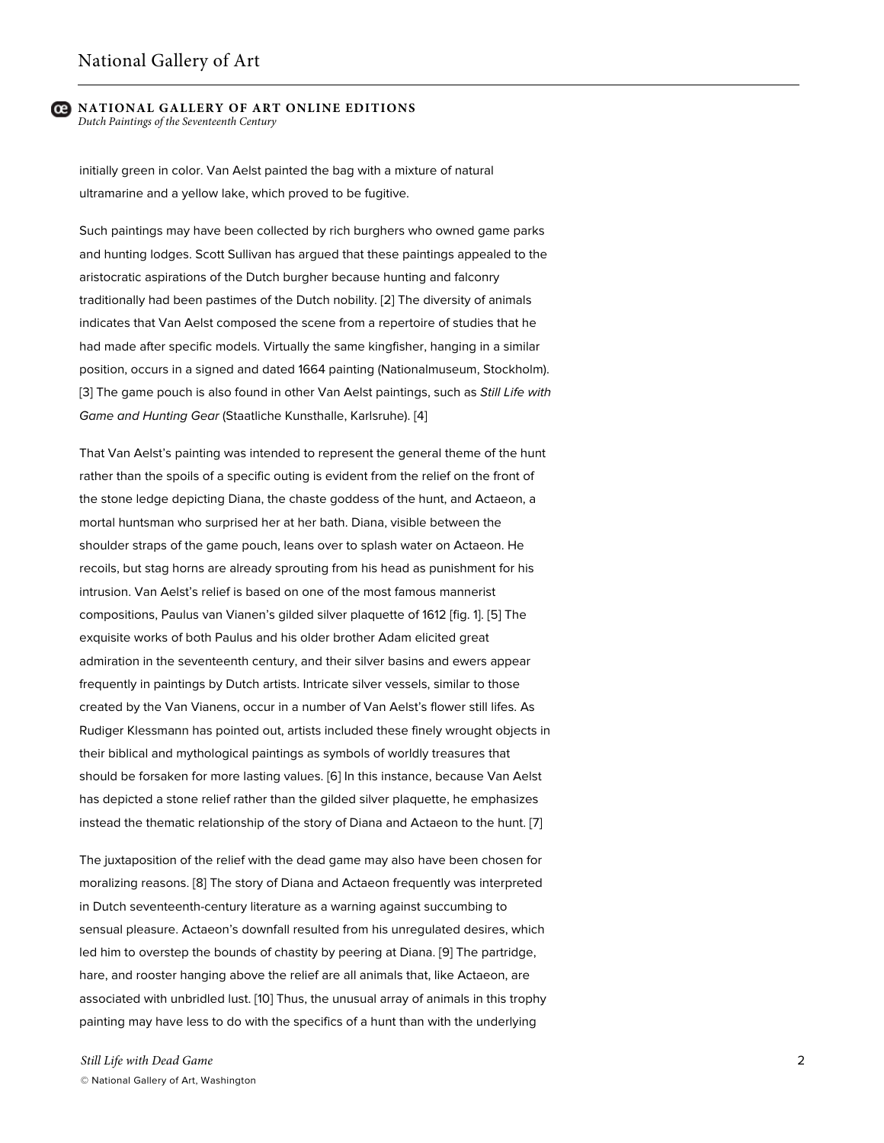#### **NATIONAL GALLERY OF ART ONLINE EDITIONS** *Dutch Paintings of the Seventeenth Century*

initially green in color. Van Aelst painted the bag with a mixture of natural ultramarine and a yellow lake, which proved to be fugitive.

Such paintings may have been collected by rich burghers who owned game parks and hunting lodges. Scott Sullivan has argued that these paintings appealed to the aristocratic aspirations of the Dutch burgher because hunting and falconry traditionally had been pastimes of the Dutch nobility. [2] The diversity of animals indicates that Van Aelst composed the scene from a repertoire of studies that he had made after specific models. Virtually the same kingfisher, hanging in a similar position, occurs in a signed and dated 1664 painting (Nationalmuseum, Stockholm). [3] The game pouch is also found in other Van Aelst paintings, such as *Still Life with Game and Hunting Gear* (Staatliche Kunsthalle, Karlsruhe). [4]

That Van Aelst's painting was intended to represent the general theme of the hunt rather than the spoils of a specific outing is evident from the relief on the front of the stone ledge depicting Diana, the chaste goddess of the hunt, and Actaeon, a mortal huntsman who surprised her at her bath. Diana, visible between the shoulder straps of the game pouch, leans over to splash water on Actaeon. He recoils, but stag horns are already sprouting from his head as punishment for his intrusion. Van Aelst's relief is based on one of the most famous mannerist compositions, Paulus van Vianen's gilded silver plaquette of 1612 [fig. 1]. [5] The exquisite works of both Paulus and his older brother Adam elicited great admiration in the seventeenth century, and their silver basins and ewers appear frequently in paintings by Dutch artists. Intricate silver vessels, similar to those created by the Van Vianens, occur in a number of Van Aelst's flower still lifes. As Rudiger Klessmann has pointed out, artists included these finely wrought objects in their biblical and mythological paintings as symbols of worldly treasures that should be forsaken for more lasting values. [6] In this instance, because Van Aelst has depicted a stone relief rather than the gilded silver plaquette, he emphasizes instead the thematic relationship of the story of Diana and Actaeon to the hunt. [7]

The juxtaposition of the relief with the dead game may also have been chosen for moralizing reasons. [8] The story of Diana and Actaeon frequently was interpreted in Dutch seventeenth-century literature as a warning against succumbing to sensual pleasure. Actaeon's downfall resulted from his unregulated desires, which led him to overstep the bounds of chastity by peering at Diana. [9] The partridge, hare, and rooster hanging above the relief are all animals that, like Actaeon, are associated with unbridled lust. [10] Thus, the unusual array of animals in this trophy painting may have less to do with the specifics of a hunt than with the underlying

*Still Life with Dead Game* © National Gallery of Art, Washington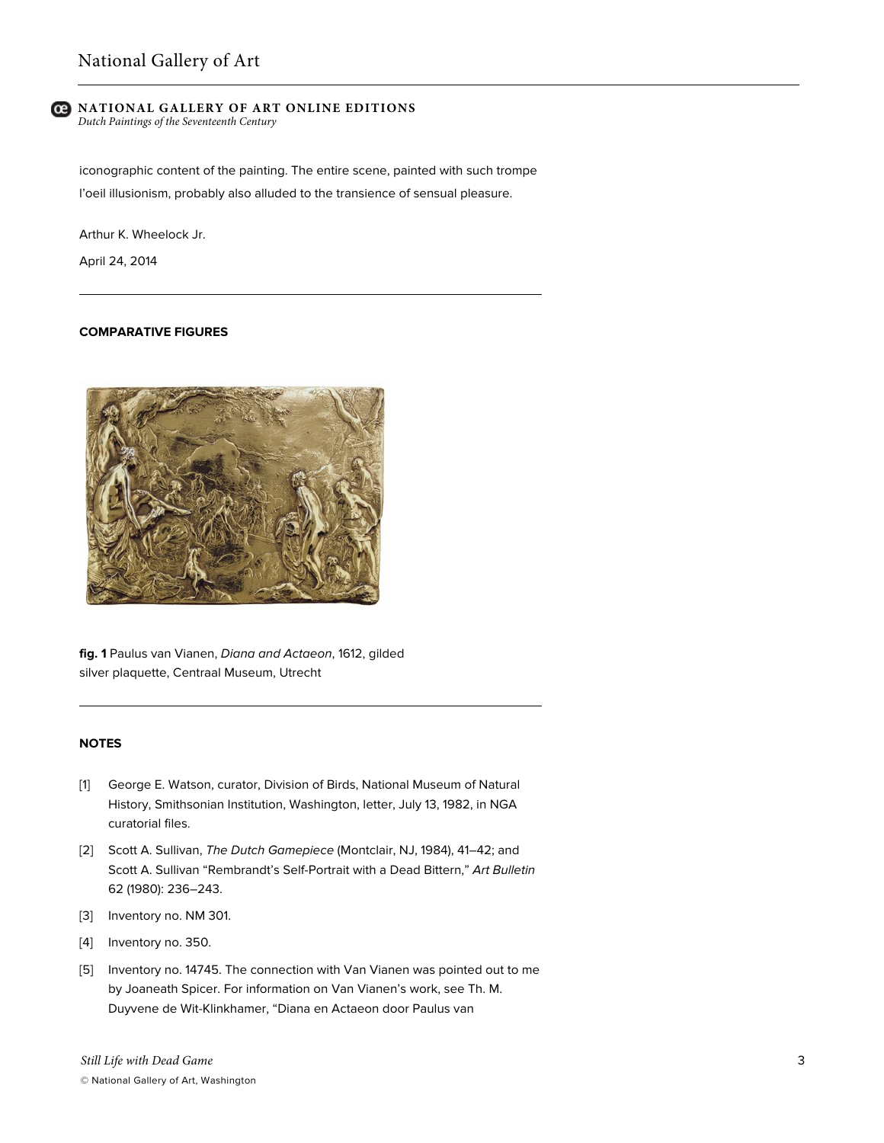## **NATIONAL GALLERY OF ART ONLINE EDITIONS**

*Dutch Paintings of the Seventeenth Century*

iconographic content of the painting. The entire scene, painted with such trompe l'oeil illusionism, probably also alluded to the transience of sensual pleasure.

Arthur K. Wheelock Jr.

April 24, 2014

## **COMPARATIVE FIGURES**



**fig. 1** Paulus van Vianen, *Diana and Actaeon*, 1612, gilded silver plaquette, Centraal Museum, Utrecht

## **NOTES**

- [1] George E. Watson, curator, Division of Birds, National Museum of Natural History, Smithsonian Institution, Washington, letter, July 13, 1982, in NGA curatorial files.
- [2] Scott A. Sullivan, *The Dutch Gamepiece* (Montclair, NJ, 1984), 41–42; and Scott A. Sullivan "Rembrandt's Self-Portrait with a Dead Bittern," *Art Bulletin* 62 (1980): 236–243.
- [3] Inventory no. NM 301.
- [4] Inventory no. 350.
- [5] Inventory no. 14745. The connection with Van Vianen was pointed out to me by Joaneath Spicer. For information on Van Vianen's work, see Th. M. Duyvene de Wit-Klinkhamer, "Diana en Actaeon door Paulus van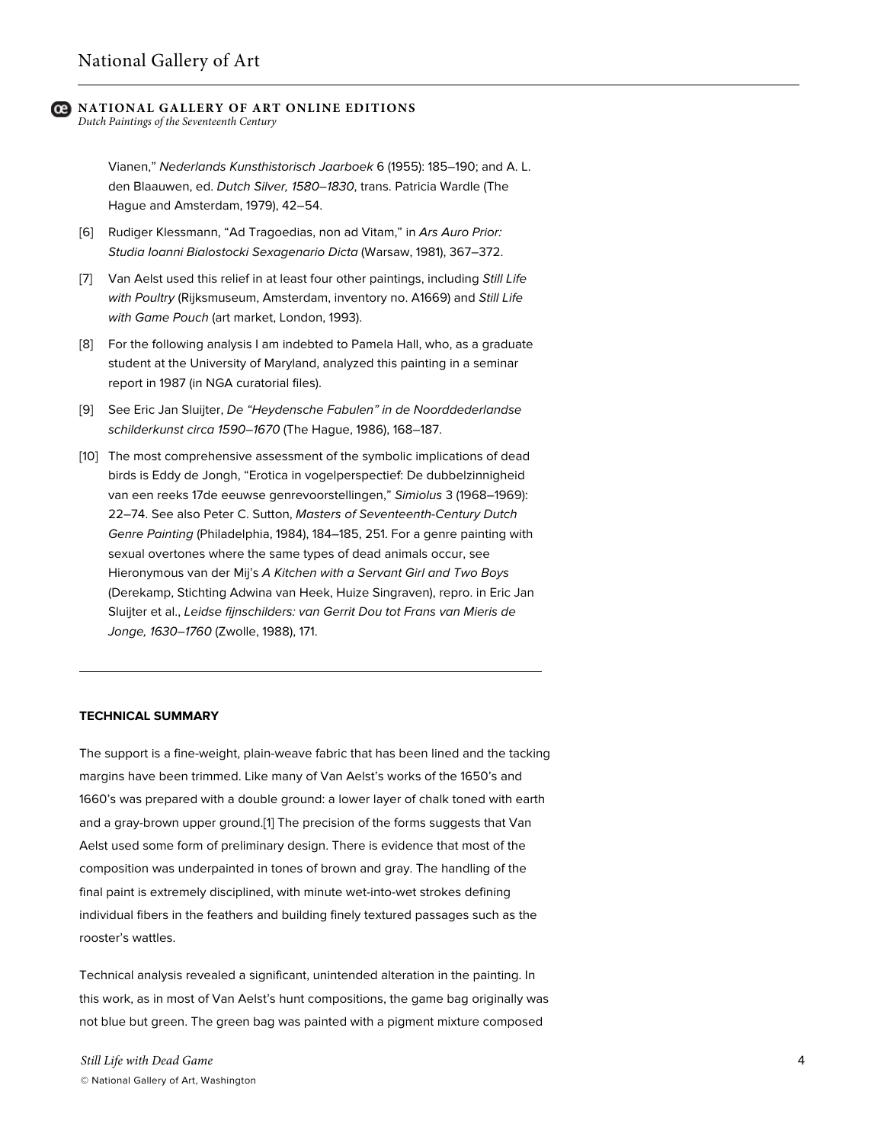# **NATIONAL GALLERY OF ART ONLINE EDITIONS**

*Dutch Paintings of the Seventeenth Century*

Vianen," *Nederlands Kunsthistorisch Jaarboek* 6 (1955): 185–190; and A. L. den Blaauwen, ed. *Dutch Silver, 1580–1830*, trans. Patricia Wardle (The Hague and Amsterdam, 1979), 42–54.

- [6] Rudiger Klessmann, "Ad Tragoedias, non ad Vitam," in *Ars Auro Prior: Studia Ioanni Bialostocki Sexagenario Dicta* (Warsaw, 1981), 367–372.
- [7] Van Aelst used this relief in at least four other paintings, including *Still Life with Poultry* (Rijksmuseum, Amsterdam, inventory no. A1669) and *Still Life with Game Pouch* (art market, London, 1993).
- [8] For the following analysis I am indebted to Pamela Hall, who, as a graduate student at the University of Maryland, analyzed this painting in a seminar report in 1987 (in NGA curatorial files).
- [9] See Eric Jan Sluijter, *De "Heydensche Fabulen" in de Noorddederlandse schilderkunst circa 1590–1670* (The Hague, 1986), 168–187.
- [10] The most comprehensive assessment of the symbolic implications of dead birds is Eddy de Jongh, "Erotica in vogelperspectief: De dubbelzinnigheid van een reeks 17de eeuwse genrevoorstellingen," *Simiolus* 3 (1968–1969): 22–74. See also Peter C. Sutton, *Masters of Seventeenth-Century Dutch Genre Painting* (Philadelphia, 1984), 184–185, 251. For a genre painting with sexual overtones where the same types of dead animals occur, see Hieronymous van der Mij's *A Kitchen with a Servant Girl and Two Boys* (Derekamp, Stichting Adwina van Heek, Huize Singraven), repro. in Eric Jan Sluijter et al., *Leidse fijnschilders: van Gerrit Dou tot Frans van Mieris de Jonge, 1630–1760* (Zwolle, 1988), 171.

### **TECHNICAL SUMMARY**

The support is a fine-weight, plain-weave fabric that has been lined and the tacking margins have been trimmed. Like many of Van Aelst's works of the 1650's and 1660's was prepared with a double ground: a lower layer of chalk toned with earth and a gray-brown upper ground.[1] The precision of the forms suggests that Van Aelst used some form of preliminary design. There is evidence that most of the composition was underpainted in tones of brown and gray. The handling of the final paint is extremely disciplined, with minute wet-into-wet strokes defining individual fibers in the feathers and building finely textured passages such as the rooster's wattles.

Technical analysis revealed a significant, unintended alteration in the painting. In this work, as in most of Van Aelst's hunt compositions, the game bag originally was not blue but green. The green bag was painted with a pigment mixture composed

*Still Life with Dead Game* © National Gallery of Art, Washington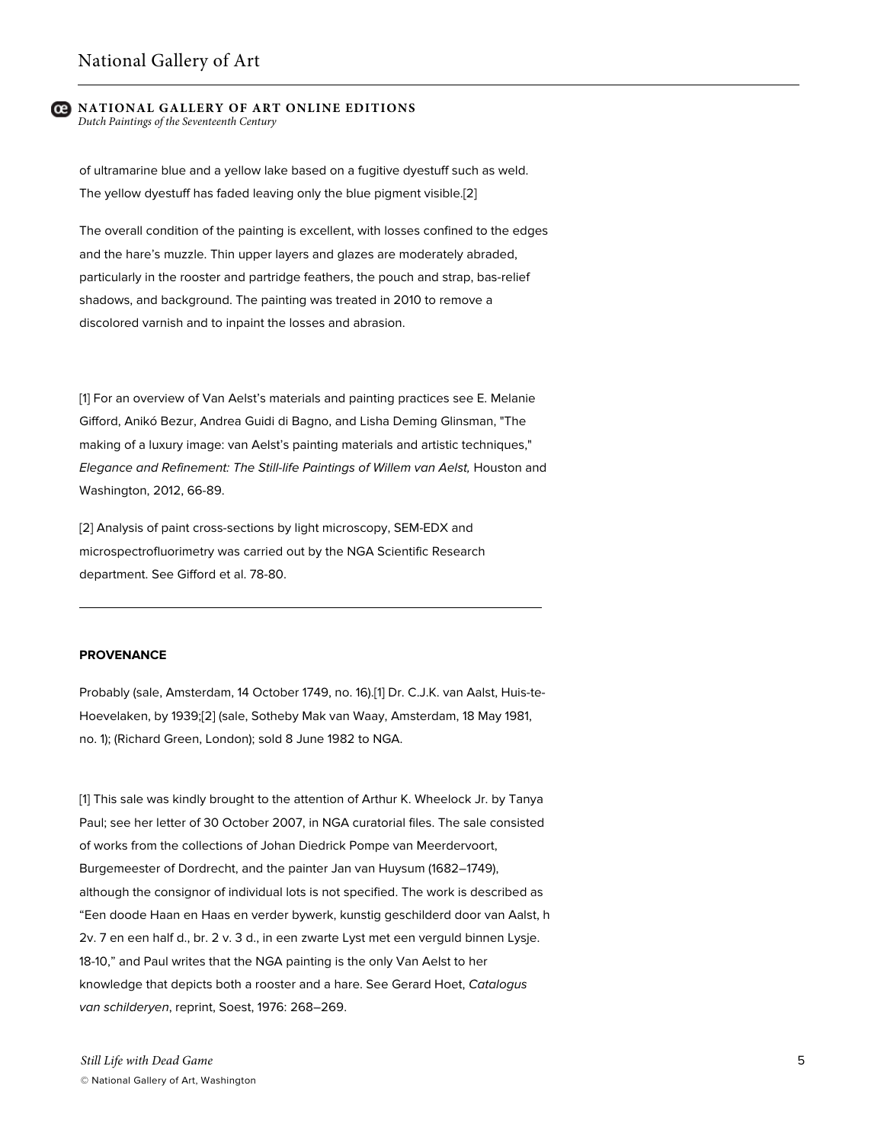#### **NATIONAL GALLERY OF ART ONLINE EDITIONS** *Dutch Paintings of the Seventeenth Century*

of ultramarine blue and a yellow lake based on a fugitive dyestuff such as weld. The yellow dyestuff has faded leaving only the blue pigment visible.[2]

The overall condition of the painting is excellent, with losses confined to the edges and the hare's muzzle. Thin upper layers and glazes are moderately abraded, particularly in the rooster and partridge feathers, the pouch and strap, bas-relief shadows, and background. The painting was treated in 2010 to remove a discolored varnish and to inpaint the losses and abrasion.

[1] For an overview of Van Aelst's materials and painting practices see E. Melanie Gifford, Anikó Bezur, Andrea Guidi di Bagno, and Lisha Deming Glinsman, "The making of a luxury image: van Aelst's painting materials and artistic techniques," *Elegance and Refinement: The Still-life Paintings of Willem van Aelst,* Houston and Washington, 2012, 66-89.

[2] Analysis of paint cross-sections by light microscopy, SEM-EDX and microspectrofluorimetry was carried out by the NGA Scientific Research department. See Gifford et al. 78-80.

#### **PROVENANCE**

Probably (sale, Amsterdam, 14 October 1749, no. 16).[1] Dr. C.J.K. van Aalst, Huis-te-Hoevelaken, by 1939;[2] (sale, Sotheby Mak van Waay, Amsterdam, 18 May 1981, no. 1); (Richard Green, London); sold 8 June 1982 to NGA.

[1] This sale was kindly brought to the attention of Arthur K. Wheelock Jr. by Tanya Paul; see her letter of 30 October 2007, in NGA curatorial files. The sale consisted of works from the collections of Johan Diedrick Pompe van Meerdervoort, Burgemeester of Dordrecht, and the painter Jan van Huysum (1682–1749), although the consignor of individual lots is not specified. The work is described as "Een doode Haan en Haas en verder bywerk, kunstig geschilderd door van Aalst, h 2v. 7 en een half d., br. 2 v. 3 d., in een zwarte Lyst met een verguld binnen Lysje. 18-10," and Paul writes that the NGA painting is the only Van Aelst to her knowledge that depicts both a rooster and a hare. See Gerard Hoet, *Catalogus van schilderyen*, reprint, Soest, 1976: 268–269.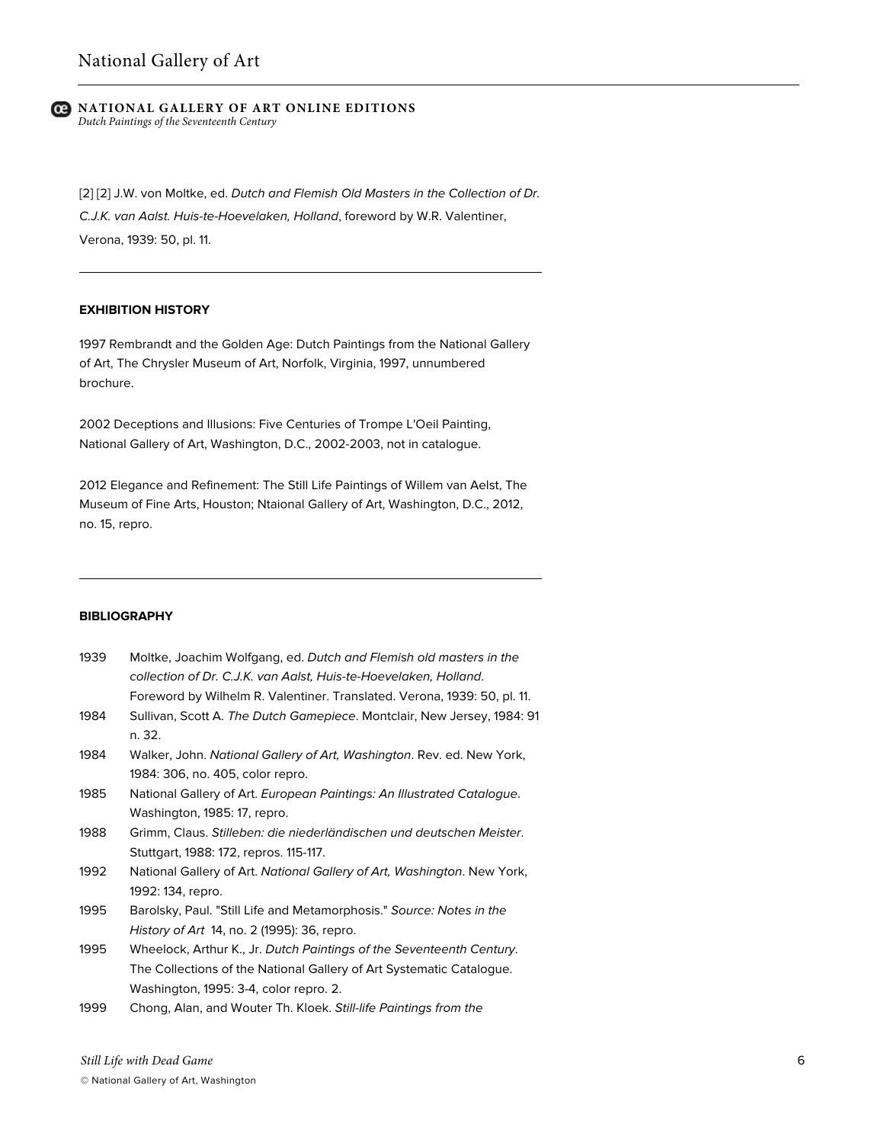#### **C** NATIONAL GALLERY OF ART ONLINE EDITIONS *Dutch Paintings of the Seventeenth Century*

[2] [2] J.W. von Moltke, ed. *Dutch and Flemish Old Masters in the Collection of Dr. C.J.K. van Aalst. Huis-te-Hoevelaken, Holland*, foreword by W.R. Valentiner, Verona, 1939: 50, pl. 11.

## **EXHIBITION HISTORY**

1997 Rembrandt and the Golden Age: Dutch Paintings from the National Gallery of Art, The Chrysler Museum of Art, Norfolk, Virginia, 1997, unnumbered brochure.

2002 Deceptions and Illusions: Five Centuries of Trompe L'Oeil Painting, National Gallery of Art, Washington, D.C., 2002-2003, not in catalogue.

2012 Elegance and Refinement: The Still Life Paintings of Willem van Aelst, The Museum of Fine Arts, Houston; Ntaional Gallery of Art, Washington, D.C., 2012, no. 15, repro.

#### **BIBLIOGRAPHY**

| 1939 | Moltke, Joachim Wolfgang, ed. Dutch and Flemish old masters in the<br>collection of Dr. C.J.K. van Aalst, Huis-te-Hoevelaken, Holland.<br>Foreword by Wilhelm R. Valentiner. Translated. Verona, 1939: 50, pl. 11. |
|------|--------------------------------------------------------------------------------------------------------------------------------------------------------------------------------------------------------------------|
| 1984 | Sullivan, Scott A. The Dutch Gamepiece. Montclair, New Jersey, 1984: 91<br>n. 32.                                                                                                                                  |
| 1984 | Walker, John. National Gallery of Art, Washington. Rev. ed. New York,<br>1984: 306, no. 405, color repro.                                                                                                          |
| 1985 | National Gallery of Art. European Paintings: An Illustrated Catalogue.<br>Washington, 1985: 17, repro.                                                                                                             |
| 1988 | Grimm, Claus. Stilleben: die niederländischen und deutschen Meister.<br>Stuttgart, 1988: 172, repros. 115-117.                                                                                                     |
| 1992 | National Gallery of Art. National Gallery of Art, Washington. New York,<br>1992: 134, repro.                                                                                                                       |
| 1995 | Barolsky, Paul. "Still Life and Metamorphosis." Source: Notes in the<br>History of Art 14, no. 2 (1995): 36, repro.                                                                                                |
| 1995 | Wheelock, Arthur K., Jr. Dutch Paintings of the Seventeenth Century.<br>The Collections of the National Gallery of Art Systematic Catalogue.<br>Washington, 1995: 3-4, color repro. 2.                             |
| 1999 | Chong, Alan, and Wouter Th. Kloek. Still-life Paintings from the                                                                                                                                                   |